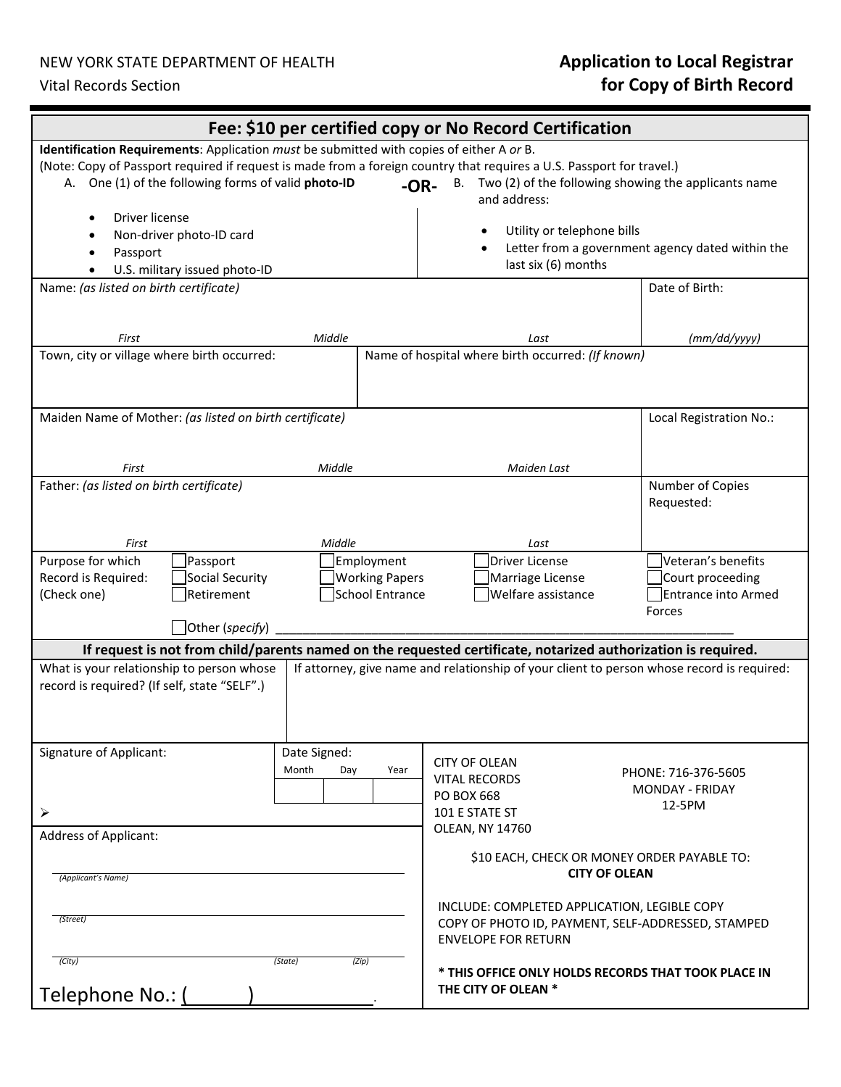## NEW YORK STATE DEPARTMENT OF HEALTH

# NEW YORK STATE DEPARTMENT OF HEALTH *Application to Local Registrar*<br>Vital Records Section **for Copy of Birth Record**

| Fee: \$10 per certified copy or No Record Certification                                                                                                                      |                                           |                                      |                                                                                                                                  |                                                                                                       |                                                                                                                                         |  |                                                                                                                                                                                                             |
|------------------------------------------------------------------------------------------------------------------------------------------------------------------------------|-------------------------------------------|--------------------------------------|----------------------------------------------------------------------------------------------------------------------------------|-------------------------------------------------------------------------------------------------------|-----------------------------------------------------------------------------------------------------------------------------------------|--|-------------------------------------------------------------------------------------------------------------------------------------------------------------------------------------------------------------|
| Identification Requirements: Application must be submitted with copies of either A or B.                                                                                     |                                           |                                      |                                                                                                                                  |                                                                                                       |                                                                                                                                         |  |                                                                                                                                                                                                             |
| (Note: Copy of Passport required if request is made from a foreign country that requires a U.S. Passport for travel.)<br>A. One (1) of the following forms of valid photo-ID |                                           |                                      |                                                                                                                                  | <b>B.</b><br>$-OR-$                                                                                   | and address:                                                                                                                            |  | Two (2) of the following showing the applicants name                                                                                                                                                        |
| Driver license<br>Non-driver photo-ID card<br>Passport<br>U.S. military issued photo-ID                                                                                      |                                           |                                      |                                                                                                                                  | Utility or telephone bills<br>Letter from a government agency dated within the<br>last six (6) months |                                                                                                                                         |  |                                                                                                                                                                                                             |
| Name: (as listed on birth certificate)                                                                                                                                       |                                           |                                      |                                                                                                                                  |                                                                                                       |                                                                                                                                         |  | Date of Birth:                                                                                                                                                                                              |
| First                                                                                                                                                                        |                                           | Middle                               |                                                                                                                                  |                                                                                                       | Last                                                                                                                                    |  | (mm/dd/yyyy)                                                                                                                                                                                                |
| Town, city or village where birth occurred:                                                                                                                                  |                                           |                                      |                                                                                                                                  |                                                                                                       | Name of hospital where birth occurred: (If known)                                                                                       |  |                                                                                                                                                                                                             |
| Maiden Name of Mother: (as listed on birth certificate)                                                                                                                      |                                           |                                      |                                                                                                                                  |                                                                                                       |                                                                                                                                         |  | Local Registration No.:                                                                                                                                                                                     |
| First                                                                                                                                                                        |                                           | Middle                               |                                                                                                                                  |                                                                                                       | Maiden Last                                                                                                                             |  |                                                                                                                                                                                                             |
| Father: (as listed on birth certificate)                                                                                                                                     |                                           |                                      |                                                                                                                                  |                                                                                                       |                                                                                                                                         |  | Number of Copies<br>Requested:                                                                                                                                                                              |
| First                                                                                                                                                                        |                                           | Middle                               |                                                                                                                                  |                                                                                                       | Last                                                                                                                                    |  |                                                                                                                                                                                                             |
| Purpose for which<br>Record is Required:<br>(Check one)                                                                                                                      | Passport<br>Social Security<br>Retirement |                                      | Employment<br><b>Working Papers</b><br><b>School Entrance</b>                                                                    |                                                                                                       | Driver License<br>Marriage License<br>Welfare assistance                                                                                |  | Veteran's benefits<br>Court proceeding<br><b>Entrance into Armed</b><br>Forces                                                                                                                              |
| Other (specify)                                                                                                                                                              |                                           |                                      |                                                                                                                                  |                                                                                                       |                                                                                                                                         |  |                                                                                                                                                                                                             |
| What is your relationship to person whose<br>record is required? (If self, state "SELF".)                                                                                    |                                           |                                      |                                                                                                                                  |                                                                                                       |                                                                                                                                         |  | If request is not from child/parents named on the requested certificate, notarized authorization is required.<br>If attorney, give name and relationship of your client to person whose record is required: |
| <b>Signature of Applicant:</b><br>➤                                                                                                                                          |                                           | Date Signed:<br>Month<br>Day<br>Year |                                                                                                                                  |                                                                                                       | <b>CITY OF OLEAN</b><br>PHONE: 716-376-5605<br><b>VITAL RECORDS</b><br><b>MONDAY - FRIDAY</b><br>PO BOX 668<br>12-5PM<br>101 E STATE ST |  |                                                                                                                                                                                                             |
| <b>Address of Applicant:</b><br>(Applicant's Name)                                                                                                                           |                                           |                                      |                                                                                                                                  |                                                                                                       | OLEAN, NY 14760<br>\$10 EACH, CHECK OR MONEY ORDER PAYABLE TO:<br><b>CITY OF OLEAN</b>                                                  |  |                                                                                                                                                                                                             |
| (Street)                                                                                                                                                                     |                                           |                                      | INCLUDE: COMPLETED APPLICATION, LEGIBLE COPY<br>COPY OF PHOTO ID, PAYMENT, SELF-ADDRESSED, STAMPED<br><b>ENVELOPE FOR RETURN</b> |                                                                                                       |                                                                                                                                         |  |                                                                                                                                                                                                             |
| (City)<br>(State)<br>(Zip)<br>Telephone No.: (                                                                                                                               |                                           |                                      |                                                                                                                                  | * THIS OFFICE ONLY HOLDS RECORDS THAT TOOK PLACE IN<br>THE CITY OF OLEAN *                            |                                                                                                                                         |  |                                                                                                                                                                                                             |